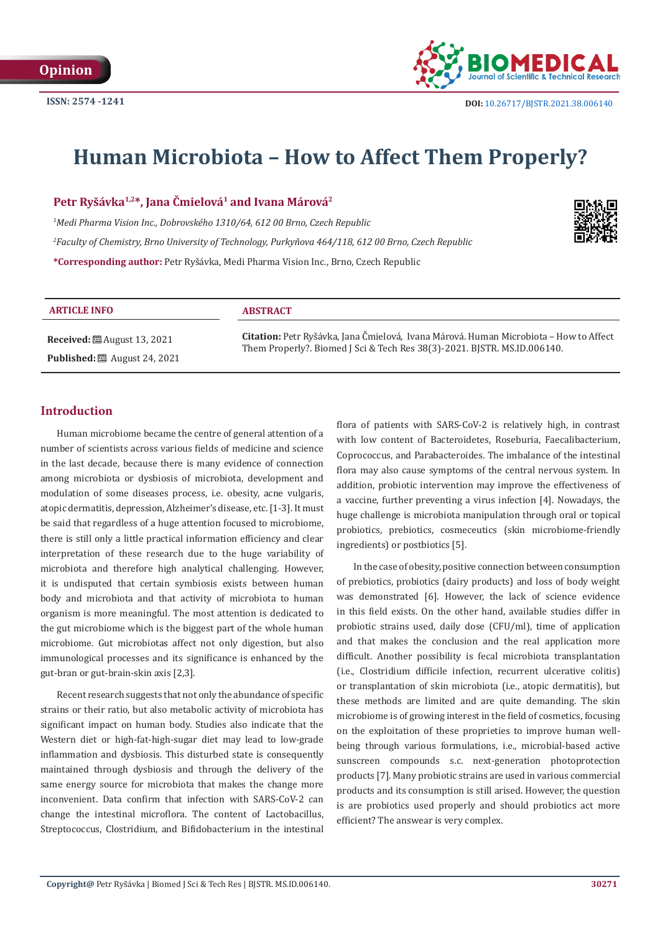

# **Human Microbiota – How to Affect Them Properly?**

**Petr Ryšávka1,2\*, Jana Čmielová1 and Ivana Márová2**

*1 Medi Pharma Vision Inc., Dobrovského 1310/64, 612 00 Brno, Czech Republic 2 Faculty of Chemistry, Brno University of Technology, Purkyňova 464/118, 612 00 Brno, Czech Republic*  **\*Corresponding author:** Petr Ryšávka, Medi Pharma Vision Inc., Brno, Czech Republic



#### **ARTICLE INFO ABSTRACT**

**Received:** August 13, 2021 **Published:** ■ August 24, 2021

**Citation:** Petr Ryšávka, Jana Čmielová, Ivana Márová. Human Microbiota – How to Affect Them Properly?. Biomed J Sci & Tech Res 38(3)-2021. BJSTR. MS.ID.006140.

## **Introduction**

Human microbiome became the centre of general attention of a number of scientists across various fields of medicine and science in the last decade, because there is many evidence of connection among microbiota or dysbiosis of microbiota, development and modulation of some diseases process, i.e. obesity, acne vulgaris, atopic dermatitis, depression, Alzheimer's disease, etc. [1-3]. It must be said that regardless of a huge attention focused to microbiome, there is still only a little practical information efficiency and clear interpretation of these research due to the huge variability of microbiota and therefore high analytical challenging. However, it is undisputed that certain symbiosis exists between human body and microbiota and that activity of microbiota to human organism is more meaningful. The most attention is dedicated to the gut microbiome which is the biggest part of the whole human microbiome. Gut microbiotas affect not only digestion, but also immunological processes and its significance is enhanced by the gut-bran or gut-brain-skin axis [2,3].

Recent research suggests that not only the abundance of specific strains or their ratio, but also metabolic activity of microbiota has significant impact on human body. Studies also indicate that the Western diet or high-fat-high-sugar diet may lead to low-grade inflammation and dysbiosis. This disturbed state is consequently maintained through dysbiosis and through the delivery of the same energy source for microbiota that makes the change more inconvenient. Data confirm that infection with SARS-CoV-2 can change the intestinal microflora. The content of Lactobacillus, Streptococcus, Clostridium, and Bifidobacterium in the intestinal flora of patients with SARS-CoV-2 is relatively high, in contrast with low content of Bacteroidetes, Roseburia, Faecalibacterium, Coprococcus, and Parabacteroides. The imbalance of the intestinal flora may also cause symptoms of the central nervous system. In addition, probiotic intervention may improve the effectiveness of a vaccine, further preventing a virus infection [4]. Nowadays, the huge challenge is microbiota manipulation through oral or topical probiotics, prebiotics, cosmeceutics (skin microbiome-friendly ingredients) or postbiotics [5].

In the case of obesity, positive connection between consumption of prebiotics, probiotics (dairy products) and loss of body weight was demonstrated [6]. However, the lack of science evidence in this field exists. On the other hand, available studies differ in probiotic strains used, daily dose (CFU/ml), time of application and that makes the conclusion and the real application more difficult. Another possibility is fecal microbiota transplantation (i.e., Clostridium difficile infection, recurrent ulcerative colitis) or transplantation of skin microbiota (i.e., atopic dermatitis), but these methods are limited and are quite demanding. The skin microbiome is of growing interest in the field of cosmetics, focusing on the exploitation of these proprieties to improve human wellbeing through various formulations, i.e., microbial-based active sunscreen compounds s.c. next-generation photoprotection products [7]. Many probiotic strains are used in various commercial products and its consumption is still arised. However, the question is are probiotics used properly and should probiotics act more efficient? The answear is very complex.